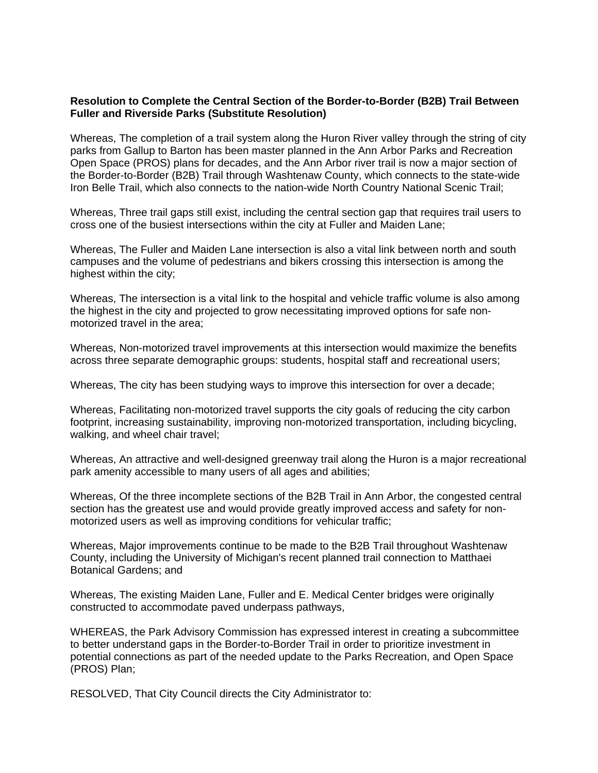## **Resolution to Complete the Central Section of the Border-to-Border (B2B) Trail Between Fuller and Riverside Parks (Substitute Resolution)**

Whereas, The completion of a trail system along the Huron River valley through the string of city parks from Gallup to Barton has been master planned in the Ann Arbor Parks and Recreation Open Space (PROS) plans for decades, and the Ann Arbor river trail is now a major section of the Border-to-Border (B2B) Trail through Washtenaw County, which connects to the state-wide Iron Belle Trail, which also connects to the nation-wide North Country National Scenic Trail;

Whereas, Three trail gaps still exist, including the central section gap that requires trail users to cross one of the busiest intersections within the city at Fuller and Maiden Lane;

Whereas, The Fuller and Maiden Lane intersection is also a vital link between north and south campuses and the volume of pedestrians and bikers crossing this intersection is among the highest within the city;

Whereas, The intersection is a vital link to the hospital and vehicle traffic volume is also among the highest in the city and projected to grow necessitating improved options for safe nonmotorized travel in the area;

Whereas, Non-motorized travel improvements at this intersection would maximize the benefits across three separate demographic groups: students, hospital staff and recreational users;

Whereas, The city has been studying ways to improve this intersection for over a decade;

Whereas, Facilitating non-motorized travel supports the city goals of reducing the city carbon footprint, increasing sustainability, improving non-motorized transportation, including bicycling, walking, and wheel chair travel;

Whereas, An attractive and well-designed greenway trail along the Huron is a major recreational park amenity accessible to many users of all ages and abilities;

Whereas, Of the three incomplete sections of the B2B Trail in Ann Arbor, the congested central section has the greatest use and would provide greatly improved access and safety for nonmotorized users as well as improving conditions for vehicular traffic;

Whereas, Major improvements continue to be made to the B2B Trail throughout Washtenaw County, including the University of Michigan's recent planned trail connection to Matthaei Botanical Gardens; and

Whereas, The existing Maiden Lane, Fuller and E. Medical Center bridges were originally constructed to accommodate paved underpass pathways,

WHEREAS, the Park Advisory Commission has expressed interest in creating a subcommittee to better understand gaps in the Border-to-Border Trail in order to prioritize investment in potential connections as part of the needed update to the Parks Recreation, and Open Space (PROS) Plan;

RESOLVED, That City Council directs the City Administrator to: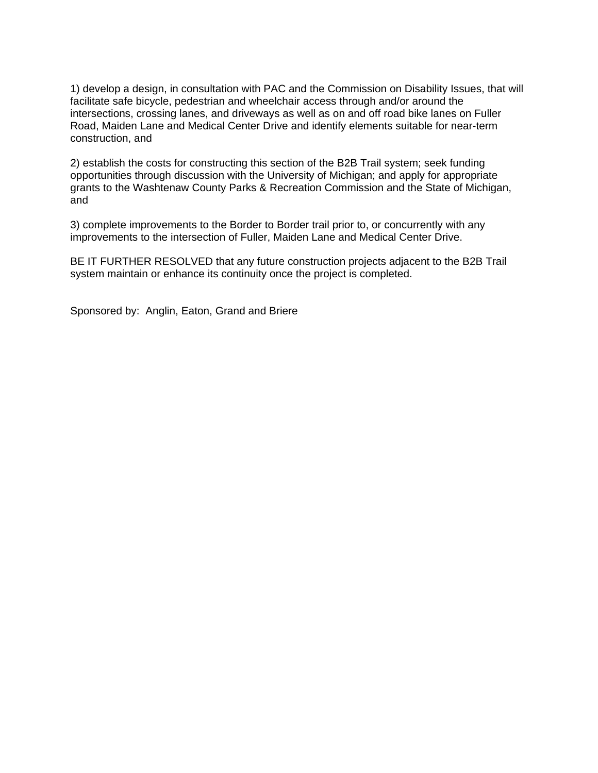1) develop a design, in consultation with PAC and the Commission on Disability Issues, that will facilitate safe bicycle, pedestrian and wheelchair access through and/or around the intersections, crossing lanes, and driveways as well as on and off road bike lanes on Fuller Road, Maiden Lane and Medical Center Drive and identify elements suitable for near-term construction, and

2) establish the costs for constructing this section of the B2B Trail system; seek funding opportunities through discussion with the University of Michigan; and apply for appropriate grants to the Washtenaw County Parks & Recreation Commission and the State of Michigan, and

3) complete improvements to the Border to Border trail prior to, or concurrently with any improvements to the intersection of Fuller, Maiden Lane and Medical Center Drive.

BE IT FURTHER RESOLVED that any future construction projects adjacent to the B2B Trail system maintain or enhance its continuity once the project is completed.

Sponsored by: Anglin, Eaton, Grand and Briere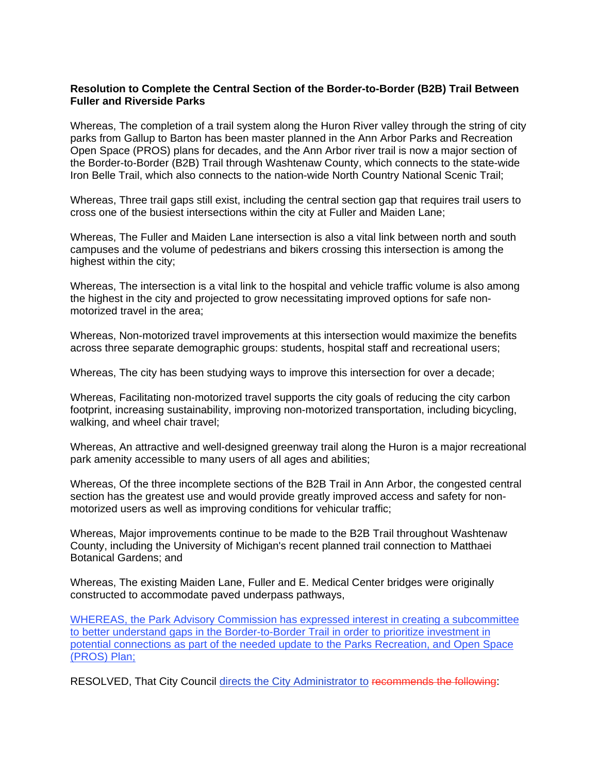## **Resolution to Complete the Central Section of the Border-to-Border (B2B) Trail Between Fuller and Riverside Parks**

Whereas, The completion of a trail system along the Huron River valley through the string of city parks from Gallup to Barton has been master planned in the Ann Arbor Parks and Recreation Open Space (PROS) plans for decades, and the Ann Arbor river trail is now a major section of the Border-to-Border (B2B) Trail through Washtenaw County, which connects to the state-wide Iron Belle Trail, which also connects to the nation-wide North Country National Scenic Trail;

Whereas, Three trail gaps still exist, including the central section gap that requires trail users to cross one of the busiest intersections within the city at Fuller and Maiden Lane;

Whereas, The Fuller and Maiden Lane intersection is also a vital link between north and south campuses and the volume of pedestrians and bikers crossing this intersection is among the highest within the city;

Whereas, The intersection is a vital link to the hospital and vehicle traffic volume is also among the highest in the city and projected to grow necessitating improved options for safe nonmotorized travel in the area;

Whereas, Non-motorized travel improvements at this intersection would maximize the benefits across three separate demographic groups: students, hospital staff and recreational users;

Whereas, The city has been studying ways to improve this intersection for over a decade;

Whereas, Facilitating non-motorized travel supports the city goals of reducing the city carbon footprint, increasing sustainability, improving non-motorized transportation, including bicycling, walking, and wheel chair travel;

Whereas, An attractive and well-designed greenway trail along the Huron is a major recreational park amenity accessible to many users of all ages and abilities;

Whereas, Of the three incomplete sections of the B2B Trail in Ann Arbor, the congested central section has the greatest use and would provide greatly improved access and safety for nonmotorized users as well as improving conditions for vehicular traffic;

Whereas, Major improvements continue to be made to the B2B Trail throughout Washtenaw County, including the University of Michigan's recent planned trail connection to Matthaei Botanical Gardens; and

Whereas, The existing Maiden Lane, Fuller and E. Medical Center bridges were originally constructed to accommodate paved underpass pathways,

WHEREAS, the Park Advisory Commission has expressed interest in creating a subcommittee to better understand gaps in the Border-to-Border Trail in order to prioritize investment in potential connections as part of the needed update to the Parks Recreation, and Open Space (PROS) Plan;

RESOLVED, That City Council directs the City Administrator to recommends the following: